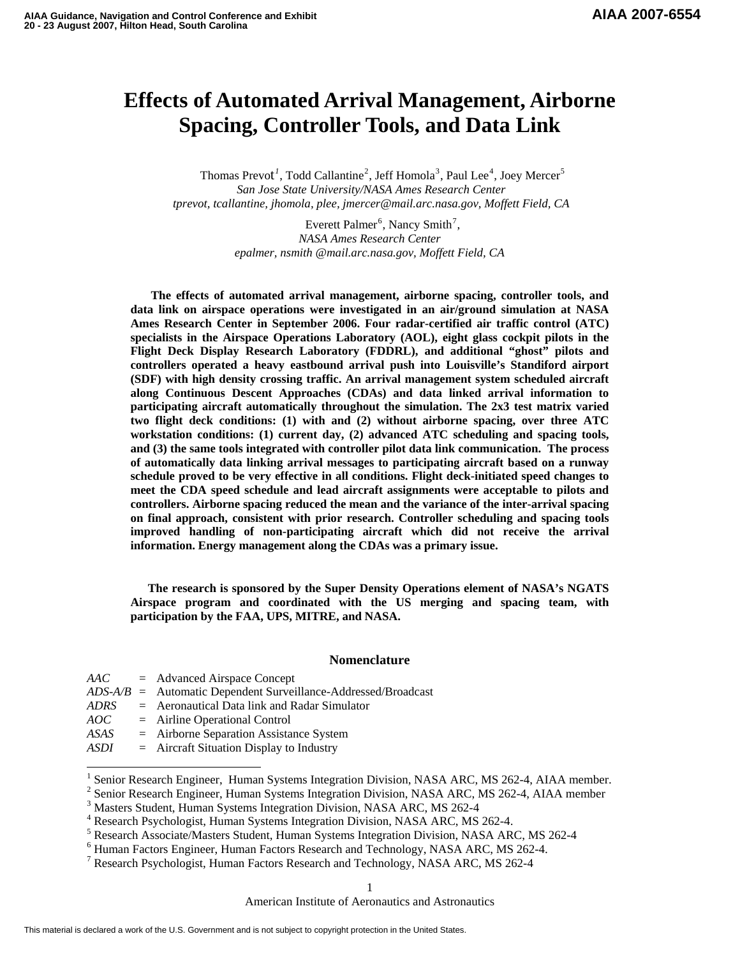# **Effects of Automated Arrival Management, Airborne Spacing, Controller Tools, and Data Link**

Thomas Prevot<sup>[1](#page-0-0)</sup>, Todd Callantine<sup>[2](#page-0-1)</sup>, Jeff Homola<sup>[3](#page-0-2)</sup>, Paul Lee<sup>[4](#page-0-3)</sup>, Joey Mercer<sup>[5](#page-0-4)</sup> *San Jose State University/NASA Ames Research Center tprevot, tcallantine, jhomola, plee, jmercer@mail.arc.nasa.gov, Moffett Field, CA* 

> Everett Palmer<sup>[6](#page-0-5)</sup>, Nancy Smith<sup>[7](#page-0-6)</sup>, *NASA Ames Research Center epalmer, nsmith @mail.arc.nasa.gov, Moffett Field, CA*

 **The effects of automated arrival management, airborne spacing, controller tools, and data link on airspace operations were investigated in an air/ground simulation at NASA Ames Research Center in September 2006. Four radar-certified air traffic control (ATC) specialists in the Airspace Operations Laboratory (AOL), eight glass cockpit pilots in the Flight Deck Display Research Laboratory (FDDRL), and additional "ghost" pilots and controllers operated a heavy eastbound arrival push into Louisville's Standiford airport (SDF) with high density crossing traffic. An arrival management system scheduled aircraft along Continuous Descent Approaches (CDAs) and data linked arrival information to participating aircraft automatically throughout the simulation. The 2x3 test matrix varied two flight deck conditions: (1) with and (2) without airborne spacing, over three ATC workstation conditions: (1) current day, (2) advanced ATC scheduling and spacing tools, and (3) the same tools integrated with controller pilot data link communication. The process of automatically data linking arrival messages to participating aircraft based on a runway schedule proved to be very effective in all conditions. Flight deck-initiated speed changes to meet the CDA speed schedule and lead aircraft assignments were acceptable to pilots and controllers. Airborne spacing reduced the mean and the variance of the inter-arrival spacing on final approach, consistent with prior research. Controller scheduling and spacing tools improved handling of non-participating aircraft which did not receive the arrival information. Energy management along the CDAs was a primary issue.** 

**The research is sponsored by the Super Density Operations element of NASA's NGATS Airspace program and coordinated with the US merging and spacing team, with participation by the FAA, UPS, MITRE, and NASA.** 

### **Nomenclature**

*AAC* = Advanced Airspace Concept *ADS-A/B* = Automatic Dependent Surveillance-Addressed/Broadcast *ADRS* = Aeronautical Data link and Radar Simulator *AOC* = Airline Operational Control *ASAS* = Airborne Separation Assistance System *ASDI* = Aircraft Situation Display to Industry

 $\overline{a}$ 

<span id="page-0-0"></span><sup>&</sup>lt;sup>1</sup> Senior Research Engineer, Human Systems Integration Division, NASA ARC, MS 262-4, AIAA member.<br><sup>2</sup> Senior Besearch Engineer, Human Systems Integration Division, NASA ARC, MS 262.4, AIAA member.

<span id="page-0-1"></span><sup>&</sup>lt;sup>2</sup> Senior Research Engineer, Human Systems Integration Division, NASA ARC, MS 262-4, AIAA member

<span id="page-0-2"></span><sup>&</sup>lt;sup>3</sup> Masters Student, Human Systems Integration Division, NASA ARC, MS 262-4

<span id="page-0-3"></span><sup>4</sup> Research Psychologist, Human Systems Integration Division, NASA ARC, MS 262-4.

<span id="page-0-4"></span><sup>&</sup>lt;sup>5</sup> Research Associate/Masters Student, Human Systems Integration Division, NASA ARC, MS 262-4

<span id="page-0-5"></span><sup>&</sup>lt;sup>6</sup> Human Factors Engineer, Human Factors Research and Technology, NASA ARC, MS 262-4.

<span id="page-0-6"></span><sup>&</sup>lt;sup>7</sup> Research Psychologist, Human Factors Research and Technology, NASA ARC, MS 262-4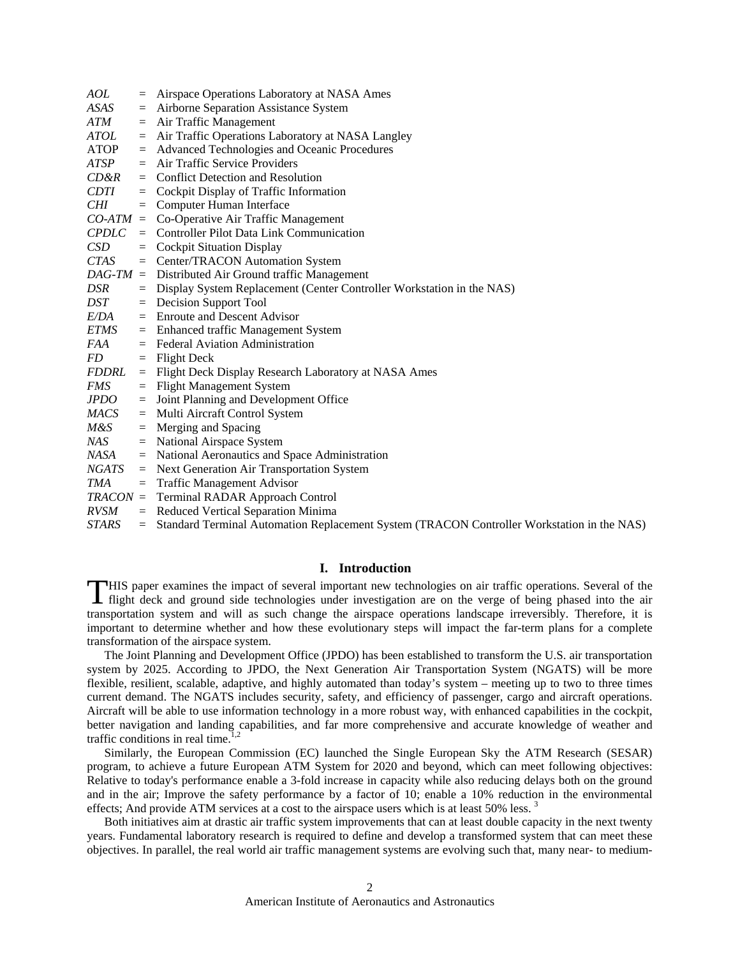| AOL         |     | = Airspace Operations Laboratory at NASA Ames                                                                                                                                                                  |
|-------------|-----|----------------------------------------------------------------------------------------------------------------------------------------------------------------------------------------------------------------|
| ASAS        | $=$ | Airborne Separation Assistance System                                                                                                                                                                          |
| ATM         | $=$ | Air Traffic Management                                                                                                                                                                                         |
| ATOL        | $=$ | Air Traffic Operations Laboratory at NASA Langley                                                                                                                                                              |
| ATOP        | $=$ | Advanced Technologies and Oceanic Procedures                                                                                                                                                                   |
| ATSP        |     | $=$ Air Traffic Service Providers                                                                                                                                                                              |
| CD&R        |     | $=$ Conflict Detection and Resolution                                                                                                                                                                          |
| <i>CDTI</i> |     | $=$ Cockpit Display of Traffic Information                                                                                                                                                                     |
| CHI —       | $=$ | Computer Human Interface                                                                                                                                                                                       |
| $CO-ATM =$  |     | Co-Operative Air Traffic Management                                                                                                                                                                            |
|             |     | $CPDLC =$ Controller Pilot Data Link Communication                                                                                                                                                             |
| CSD         | $=$ | <b>Cockpit Situation Display</b>                                                                                                                                                                               |
| <i>CTAS</i> |     | = Center/TRACON Automation System                                                                                                                                                                              |
| $DAG-TM =$  |     | Distributed Air Ground traffic Management                                                                                                                                                                      |
| DSR         | $=$ | Display System Replacement (Center Controller Workstation in the NAS)                                                                                                                                          |
| DST         |     | $=$ Decision Support Tool                                                                                                                                                                                      |
| E/DA        |     | $=$ Enroute and Descent Advisor                                                                                                                                                                                |
| ETMS        |     | = Enhanced traffic Management System                                                                                                                                                                           |
| <i>FAA</i>  |     | $=$ Federal Aviation Administration                                                                                                                                                                            |
| FD.         |     | $=$ Flight Deck                                                                                                                                                                                                |
| FDDRL       |     | = Flight Deck Display Research Laboratory at NASA Ames                                                                                                                                                         |
| <i>FMS</i>  | $=$ | <b>Flight Management System</b>                                                                                                                                                                                |
| <i>JPDO</i> |     | = Joint Planning and Development Office                                                                                                                                                                        |
| MACS        | $=$ | Multi Aircraft Control System                                                                                                                                                                                  |
| M&S         | $=$ | Merging and Spacing                                                                                                                                                                                            |
| NAS —       |     | $=$ National Airspace System                                                                                                                                                                                   |
| NASA        |     | = National Aeronautics and Space Administration                                                                                                                                                                |
| NGATS       |     | = Next Generation Air Transportation System                                                                                                                                                                    |
| <b>TMA</b>  | $=$ | <b>Traffic Management Advisor</b>                                                                                                                                                                              |
| $TRACON =$  |     | <b>Terminal RADAR Approach Control</b>                                                                                                                                                                         |
| <i>RVSM</i> |     | $=$ Reduced Vertical Separation Minima                                                                                                                                                                         |
| $CDI$ $DQ$  |     | $\mathbf{1}$ $\mathbf{1}$ $\mathbf{m}$ $\mathbf{1}$ $\mathbf{1}$ $\mathbf{1}$ $\mathbf{1}$ $\mathbf{1}$ $\mathbf{1}$ $\mathbf{1}$ $\mathbf{1}$ $\mathbf{1}$ $\mathbf{1}$<br>$\sqrt{mn} + \sqrt{mn} + \sqrt{n}$ |

### *STARS* = Standard Terminal Automation Replacement System (TRACON Controller Workstation in the NAS)

# **I. Introduction**

THIS paper examines the impact of several important new technologies on air traffic operations. Several of the flight deck and ground side technologies under investigation are on the verge of being phased into the air flight deck and ground side technologies under investigation are on the verge of being phased into the air transportation system and will as such change the airspace operations landscape irreversibly. Therefore, it is important to determine whether and how these evolutionary steps will impact the far-term plans for a complete transformation of the airspace system.

The Joint Planning and Development Office (JPDO) has been established to transform the U.S. air transportation system by 2025. According to JPDO, the Next Generation Air Transportation System (NGATS) will be more flexible, resilient, scalable, adaptive, and highly automated than today's system – meeting up to two to three times current demand. The NGATS includes security, safety, and efficiency of passenger, cargo and aircraft operations. Aircraft will be able to use information technology in a more robust way, with enhanced capabilities in the cockpit, better navigation and landing capabilities, and far more comprehensive and accurate knowledge of weather and traffic conditions in real time.<sup>1,2</sup>

Similarly, the European Commission (EC) launched the Single European Sky the ATM Research (SESAR) program, to achieve a future European ATM System for 2020 and beyond, which can meet following objectives: Relative to today's performance enable a 3-fold increase in capacity while also reducing delays both on the ground and in the air; Improve the safety performance by a factor of 10; enable a 10% reduction in the environmental effects; And provide ATM services at a cost to the airspace users which is at least  $50\%$  less.<sup>3</sup>

Both initiatives aim at drastic air traffic system improvements that can at least double capacity in the next twenty years. Fundamental laboratory research is required to define and develop a transformed system that can meet these objectives. In parallel, the real world air traffic management systems are evolving such that, many near- to medium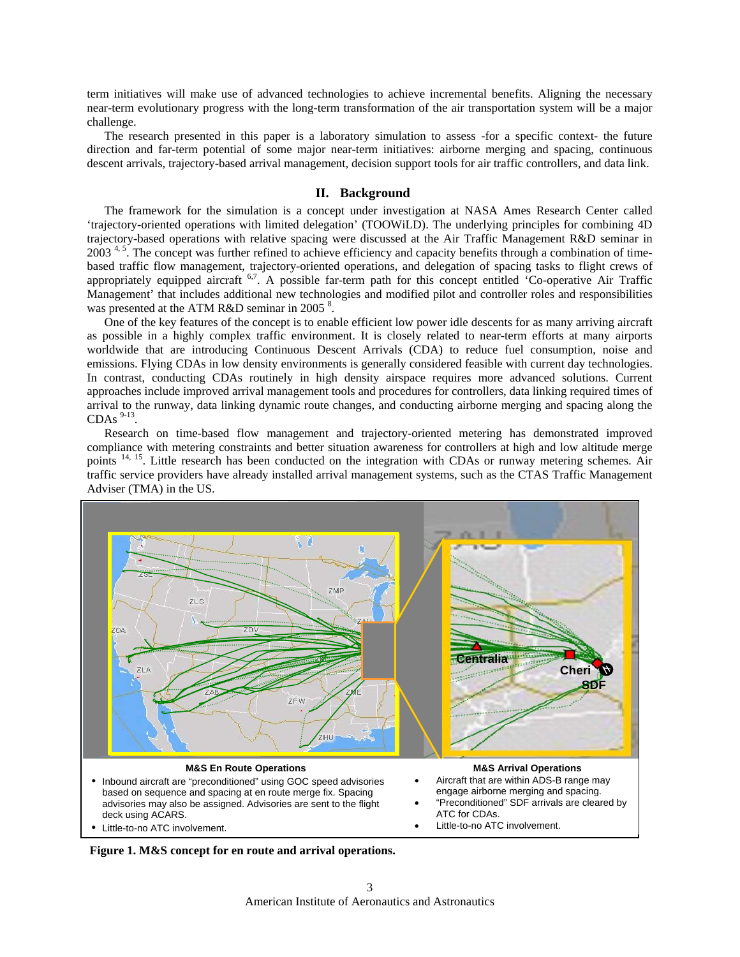term initiatives will make use of advanced technologies to achieve incremental benefits. Aligning the necessary near-term evolutionary progress with the long-term transformation of the air transportation system will be a major challenge.

The research presented in this paper is a laboratory simulation to assess -for a specific context- the future direction and far-term potential of some major near-term initiatives: airborne merging and spacing, continuous descent arrivals, trajectory-based arrival management, decision support tools for air traffic controllers, and data link.

## **II. Background**

The framework for the simulation is a concept under investigation at NASA Ames Research Center called 'trajectory-oriented operations with limited delegation' (TOOWiLD). The underlying principles for combining 4D trajectory-based operations with relative spacing were discussed at the Air Traffic Management R&D seminar in  $2003<sup>4, 5</sup>$ . The concept was further refined to achieve efficiency and capacity benefits through a combination of timebased traffic flow management, trajectory-oriented operations, and delegation of spacing tasks to flight crews of appropriately equipped aircraft <sup>6,7</sup>. A possible far-term path for this concept entitled 'Co-operative Air Traffic Management' that includes additional new technologies and modified pilot and controller roles and responsibilities was presented at the ATM R&D seminar in 2005<sup>8</sup>.

One of the key features of the concept is to enable efficient low power idle descents for as many arriving aircraft as possible in a highly complex traffic environment. It is closely related to near-term efforts at many airports worldwide that are introducing Continuous Descent Arrivals (CDA) to reduce fuel consumption, noise and emissions. Flying CDAs in low density environments is generally considered feasible with current day technologies. In contrast, conducting CDAs routinely in high density airspace requires more advanced solutions. Current approaches include improved arrival management tools and procedures for controllers, data linking required times of arrival to the runway, data linking dynamic route changes, and conducting airborne merging and spacing along the CDAs  $9-13$ .

Research on time-based flow management and trajectory-oriented metering has demonstrated improved compliance with metering constraints and better situation awareness for controllers at high and low altitude merge points <sup>14, 15</sup>. Little research has been conducted on the integration with CDAs or runway metering schemes. Air traffic service providers have already installed arrival management systems, such as the CTAS Traffic Management Adviser (TMA) in the US.



**Figure 1. M&S concept for en route and arrival operations.**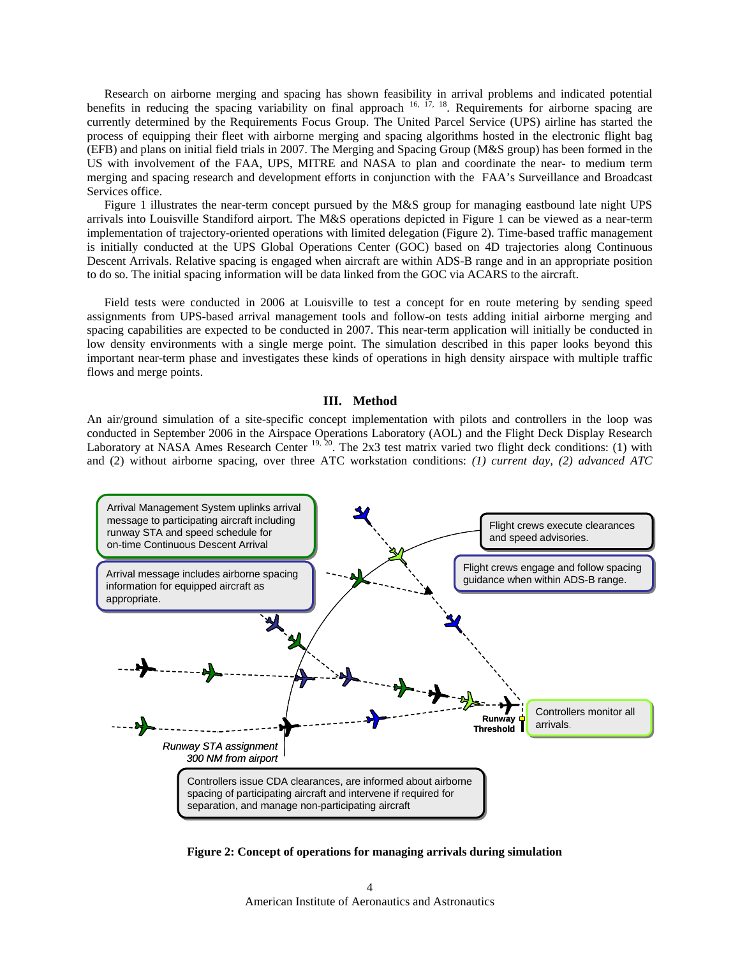Research on airborne merging and spacing has shown feasibility in arrival problems and indicated potential benefits in reducing the spacing variability on final approach  $16$ ,  $17$ ,  $18$ . Requirements for airborne spacing are currently determined by the Requirements Focus Group. The United Parcel Service (UPS) airline has started the process of equipping their fleet with airborne merging and spacing algorithms hosted in the electronic flight bag (EFB) and plans on initial field trials in 2007. The Merging and Spacing Group (M&S group) has been formed in the US with involvement of the FAA, UPS, MITRE and NASA to plan and coordinate the near- to medium term merging and spacing research and development efforts in conjunction with the FAA's Surveillance and Broadcast Services office.

Figure 1 illustrates the near-term concept pursued by the M&S group for managing eastbound late night UPS arrivals into Louisville Standiford airport. The M&S operations depicted in Figure 1 can be viewed as a near-term implementation of trajectory-oriented operations with limited delegation (Figure 2). Time-based traffic management is initially conducted at the UPS Global Operations Center (GOC) based on 4D trajectories along Continuous Descent Arrivals. Relative spacing is engaged when aircraft are within ADS-B range and in an appropriate position to do so. The initial spacing information will be data linked from the GOC via ACARS to the aircraft.

Field tests were conducted in 2006 at Louisville to test a concept for en route metering by sending speed assignments from UPS-based arrival management tools and follow-on tests adding initial airborne merging and spacing capabilities are expected to be conducted in 2007. This near-term application will initially be conducted in low density environments with a single merge point. The simulation described in this paper looks beyond this important near-term phase and investigates these kinds of operations in high density airspace with multiple traffic flows and merge points.

### **III. Method**

An air/ground simulation of a site-specific concept implementation with pilots and controllers in the loop was conducted in September 2006 in the Airspace Operations Laboratory (AOL) and the Flight Deck Display Research Laboratory at NASA Ames Research Center <sup>19, 20</sup>. The 2x3 test matrix varied two flight deck conditions: (1) with and (2) without airborne spacing, over three ATC workstation conditions: *(1) current day, (2) advanced ATC* 



**Figure 2: Concept of operations for managing arrivals during simulation**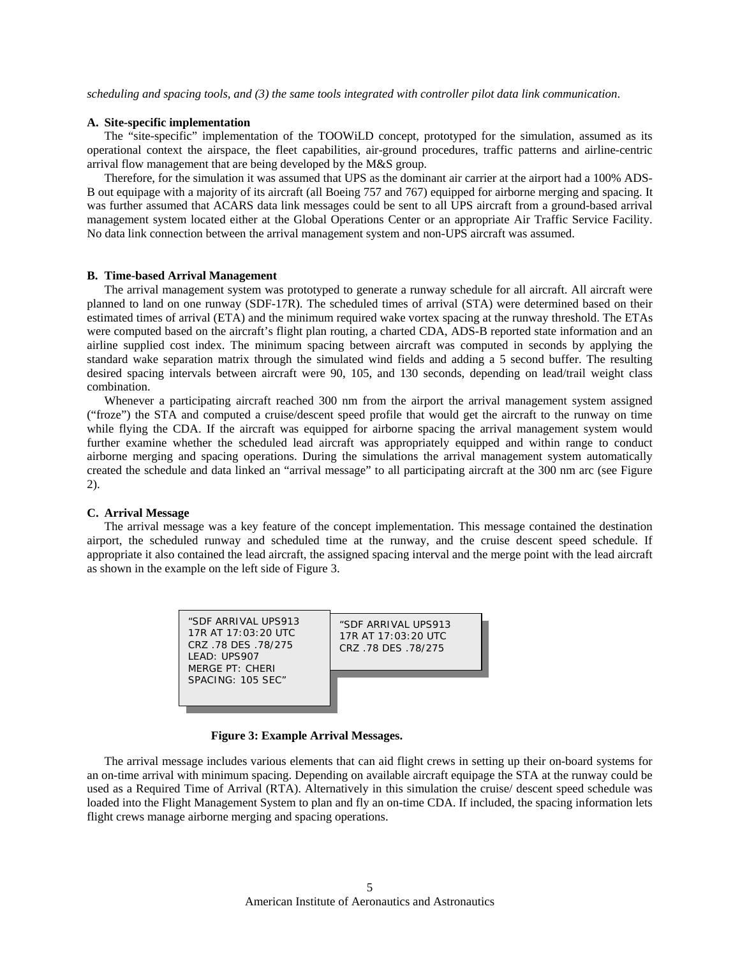*scheduling and spacing tools, and (3) the same tools integrated with controller pilot data link communication*.

### **A. Site-specific implementation**

The "site-specific" implementation of the TOOWiLD concept, prototyped for the simulation, assumed as its operational context the airspace, the fleet capabilities, air-ground procedures, traffic patterns and airline-centric arrival flow management that are being developed by the M&S group.

Therefore, for the simulation it was assumed that UPS as the dominant air carrier at the airport had a 100% ADS-B out equipage with a majority of its aircraft (all Boeing 757 and 767) equipped for airborne merging and spacing. It was further assumed that ACARS data link messages could be sent to all UPS aircraft from a ground-based arrival management system located either at the Global Operations Center or an appropriate Air Traffic Service Facility. No data link connection between the arrival management system and non-UPS aircraft was assumed.

### **B. Time-based Arrival Management**

The arrival management system was prototyped to generate a runway schedule for all aircraft. All aircraft were planned to land on one runway (SDF-17R). The scheduled times of arrival (STA) were determined based on their estimated times of arrival (ETA) and the minimum required wake vortex spacing at the runway threshold. The ETAs were computed based on the aircraft's flight plan routing, a charted CDA, ADS-B reported state information and an airline supplied cost index. The minimum spacing between aircraft was computed in seconds by applying the standard wake separation matrix through the simulated wind fields and adding a 5 second buffer. The resulting desired spacing intervals between aircraft were 90, 105, and 130 seconds, depending on lead/trail weight class combination.

Whenever a participating aircraft reached 300 nm from the airport the arrival management system assigned ("froze") the STA and computed a cruise/descent speed profile that would get the aircraft to the runway on time while flying the CDA. If the aircraft was equipped for airborne spacing the arrival management system would further examine whether the scheduled lead aircraft was appropriately equipped and within range to conduct airborne merging and spacing operations. During the simulations the arrival management system automatically created the schedule and data linked an "arrival message" to all participating aircraft at the 300 nm arc (see Figure 2).

### **C. Arrival Message**

The arrival message was a key feature of the concept implementation. This message contained the destination airport, the scheduled runway and scheduled time at the runway, and the cruise descent speed schedule. If appropriate it also contained the lead aircraft, the assigned spacing interval and the merge point with the lead aircraft as shown in the example on the left side of Figure 3.

| "SDF ARRIVAL UPS913<br>17R AT 17:03:20 UTC<br>CRZ .78 DES .78/275<br>LEAD: UPS907<br>MFRGFPT: CHFRI | "SDE ARRIVAL UPS913<br>17R AT $17:03:20$ UTC<br>CRZ .78 DES .78/275 |
|-----------------------------------------------------------------------------------------------------|---------------------------------------------------------------------|
| SPACING: 105 SFC"                                                                                   |                                                                     |

### **Figure 3: Example Arrival Messages.**

The arrival message includes various elements that can aid flight crews in setting up their on-board systems for an on-time arrival with minimum spacing. Depending on available aircraft equipage the STA at the runway could be used as a Required Time of Arrival (RTA). Alternatively in this simulation the cruise/ descent speed schedule was loaded into the Flight Management System to plan and fly an on-time CDA. If included, the spacing information lets flight crews manage airborne merging and spacing operations.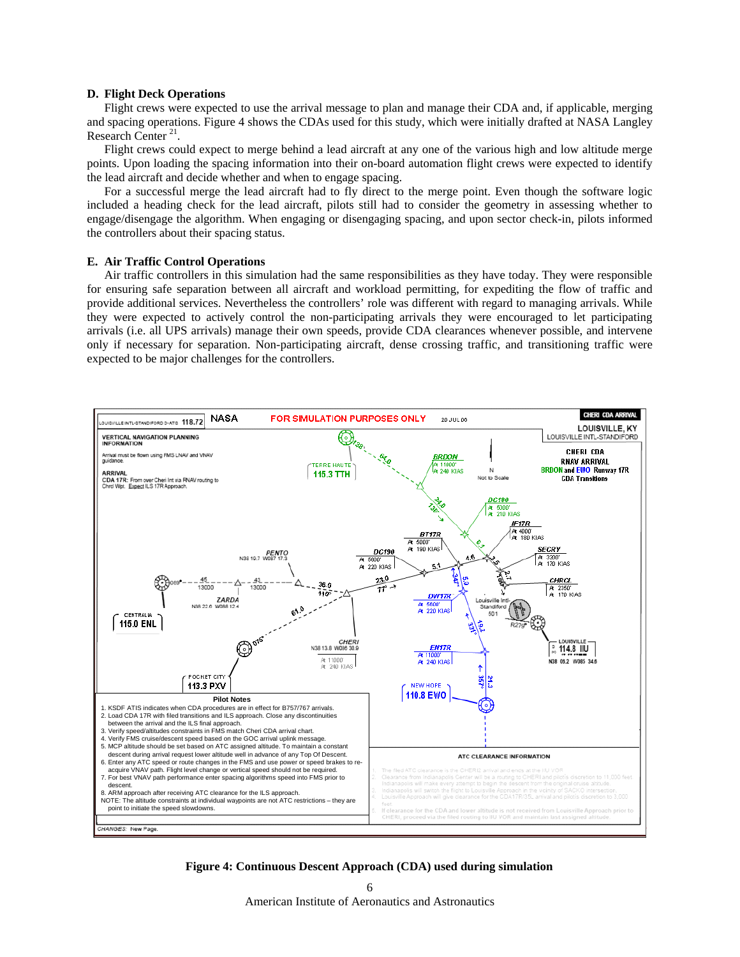### **D. Flight Deck Operations**

Flight crews were expected to use the arrival message to plan and manage their CDA and, if applicable, merging and spacing operations. Figure 4 shows the CDAs used for this study, which were initially drafted at NASA Langley Research Center  $^{21}$ .

Flight crews could expect to merge behind a lead aircraft at any one of the various high and low altitude merge points. Upon loading the spacing information into their on-board automation flight crews were expected to identify the lead aircraft and decide whether and when to engage spacing.

For a successful merge the lead aircraft had to fly direct to the merge point. Even though the software logic included a heading check for the lead aircraft, pilots still had to consider the geometry in assessing whether to engage/disengage the algorithm. When engaging or disengaging spacing, and upon sector check-in, pilots informed the controllers about their spacing status.

### **E. Air Traffic Control Operations**

Air traffic controllers in this simulation had the same responsibilities as they have today. They were responsible for ensuring safe separation between all aircraft and workload permitting, for expediting the flow of traffic and provide additional services. Nevertheless the controllers' role was different with regard to managing arrivals. While they were expected to actively control the non-participating arrivals they were encouraged to let participating arrivals (i.e. all UPS arrivals) manage their own speeds, provide CDA clearances whenever possible, and intervene only if necessary for separation. Non-participating aircraft, dense crossing traffic, and transitioning traffic were expected to be major challenges for the controllers.



**Figure 4: Continuous Descent Approach (CDA) used during simulation**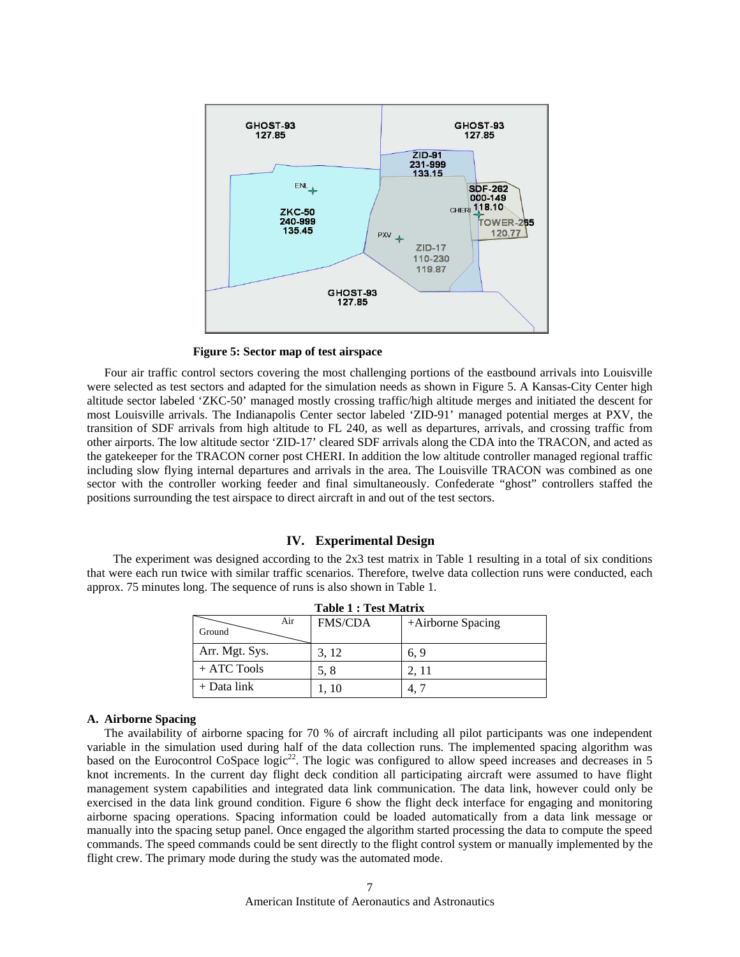

**Figure 5: Sector map of test airspace** 

Four air traffic control sectors covering the most challenging portions of the eastbound arrivals into Louisville were selected as test sectors and adapted for the simulation needs as shown in Figure 5. A Kansas-City Center high altitude sector labeled 'ZKC-50' managed mostly crossing traffic/high altitude merges and initiated the descent for most Louisville arrivals. The Indianapolis Center sector labeled 'ZID-91' managed potential merges at PXV, the transition of SDF arrivals from high altitude to FL 240, as well as departures, arrivals, and crossing traffic from other airports. The low altitude sector 'ZID-17' cleared SDF arrivals along the CDA into the TRACON, and acted as the gatekeeper for the TRACON corner post CHERI. In addition the low altitude controller managed regional traffic including slow flying internal departures and arrivals in the area. The Louisville TRACON was combined as one sector with the controller working feeder and final simultaneously. Confederate "ghost" controllers staffed the positions surrounding the test airspace to direct aircraft in and out of the test sectors.

### **IV. Experimental Design**

The experiment was designed according to the 2x3 test matrix in Table 1 resulting in a total of six conditions that were each run twice with similar traffic scenarios. Therefore, twelve data collection runs were conducted, each approx. 75 minutes long. The sequence of runs is also shown in Table 1.

| <b>Table 1: Test Matrix</b> |                |                   |  |  |  |  |
|-----------------------------|----------------|-------------------|--|--|--|--|
| Air<br>Ground               | <b>FMS/CDA</b> | +Airborne Spacing |  |  |  |  |
| Arr. Mgt. Sys.              | 3, 12          | 6.9               |  |  |  |  |
| $+$ ATC Tools               | 5.8            | 2.11              |  |  |  |  |
| $+$ Data link               | 1.10           |                   |  |  |  |  |

### **A. Airborne Spacing**

The availability of airborne spacing for 70 % of aircraft including all pilot participants was one independent variable in the simulation used during half of the data collection runs. The implemented spacing algorithm was based on the Eurocontrol CoSpace logic<sup>22</sup>. The logic was configured to allow speed increases and decreases in 5 knot increments. In the current day flight deck condition all participating aircraft were assumed to have flight management system capabilities and integrated data link communication. The data link, however could only be exercised in the data link ground condition. Figure 6 show the flight deck interface for engaging and monitoring airborne spacing operations. Spacing information could be loaded automatically from a data link message or manually into the spacing setup panel. Once engaged the algorithm started processing the data to compute the speed commands. The speed commands could be sent directly to the flight control system or manually implemented by the flight crew. The primary mode during the study was the automated mode.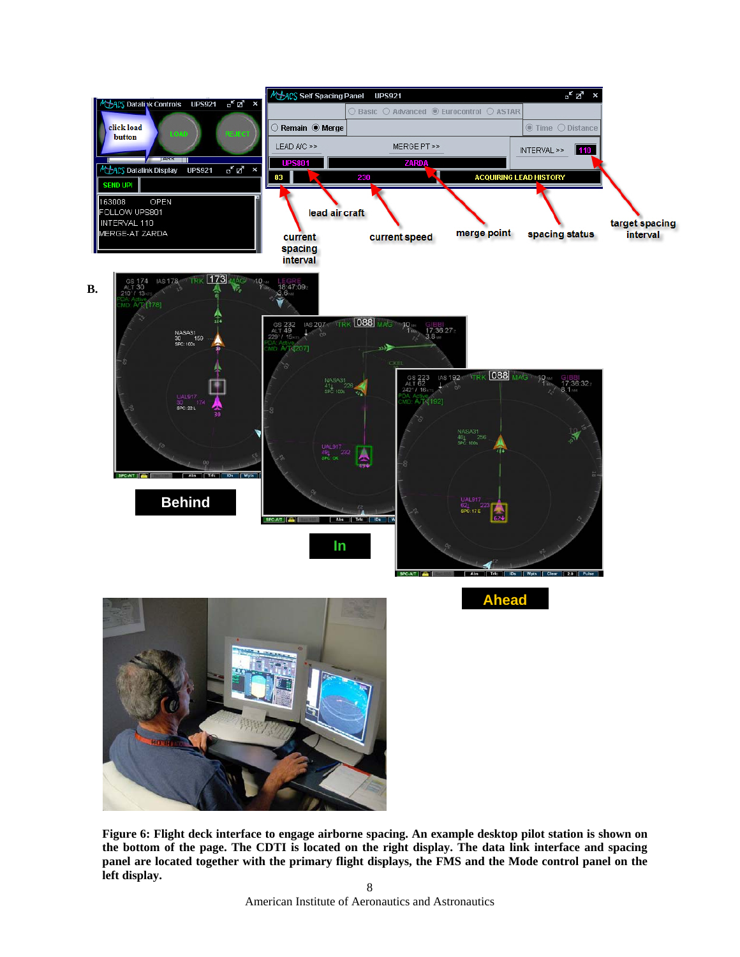

**Figure 6: Flight deck interface to engage airborne spacing. An example desktop pilot station is shown on the bottom of the page. The CDTI is located on the right display. The data link interface and spacing panel are located together with the primary flight displays, the FMS and the Mode control panel on the left display.**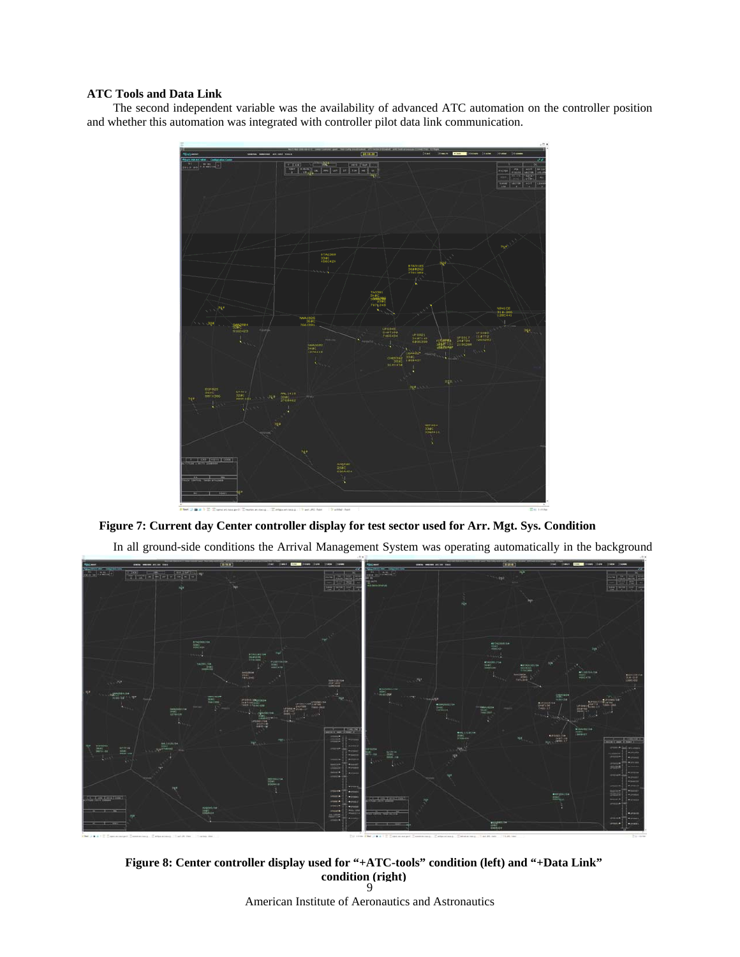# **ATC Tools and Data Link**

The second independent variable was the availability of advanced ATC automation on the controller position and whether this automation was integrated with controller pilot data link communication.



**Figure 7: Current day Center controller display for test sector used for Arr. Mgt. Sys. Condition** 

In all ground-side conditions the Arrival Management System was operating automatically in the background



9 **Figure 8: Center controller display used for "+ATC-tools" condition (left) and "+Data Link" condition (right)**

American Institute of Aeronautics and Astronautics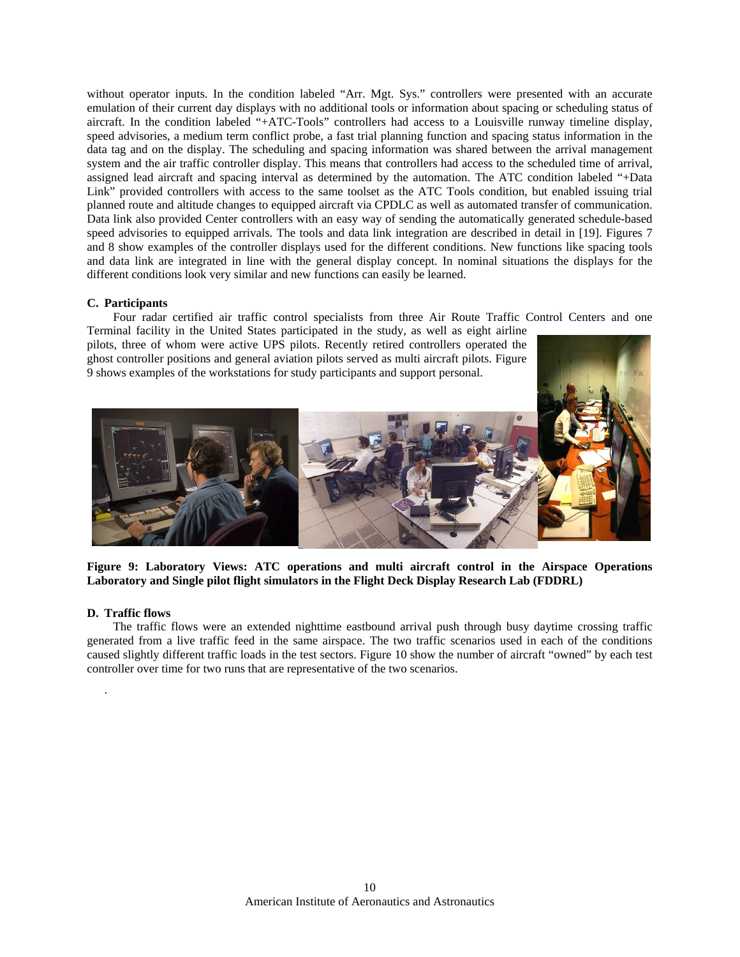without operator inputs. In the condition labeled "Arr. Mgt. Sys." controllers were presented with an accurate emulation of their current day displays with no additional tools or information about spacing or scheduling status of aircraft. In the condition labeled "+ATC-Tools" controllers had access to a Louisville runway timeline display, speed advisories, a medium term conflict probe, a fast trial planning function and spacing status information in the data tag and on the display. The scheduling and spacing information was shared between the arrival management system and the air traffic controller display. This means that controllers had access to the scheduled time of arrival, assigned lead aircraft and spacing interval as determined by the automation. The ATC condition labeled "+Data Link" provided controllers with access to the same toolset as the ATC Tools condition, but enabled issuing trial planned route and altitude changes to equipped aircraft via CPDLC as well as automated transfer of communication. Data link also provided Center controllers with an easy way of sending the automatically generated schedule-based speed advisories to equipped arrivals. The tools and data link integration are described in detail in [19]. Figures 7 and 8 show examples of the controller displays used for the different conditions. New functions like spacing tools and data link are integrated in line with the general display concept. In nominal situations the displays for the different conditions look very similar and new functions can easily be learned.

### **C. Participants**

Four radar certified air traffic control specialists from three Air Route Traffic Control Centers and one

Terminal facility in the United States participated in the study, as well as eight airline pilots, three of whom were active UPS pilots. Recently retired controllers operated the ghost controller positions and general aviation pilots served as multi aircraft pilots. Figure 9 shows examples of the workstations for study participants and support personal.



**Figure 9: Laboratory Views: ATC operations and multi aircraft control in the Airspace Operations Laboratory and Single pilot flight simulators in the Flight Deck Display Research Lab (FDDRL)** 

# **D. Traffic flows**

.

The traffic flows were an extended nighttime eastbound arrival push through busy daytime crossing traffic generated from a live traffic feed in the same airspace. The two traffic scenarios used in each of the conditions caused slightly different traffic loads in the test sectors. Figure 10 show the number of aircraft "owned" by each test controller over time for two runs that are representative of the two scenarios.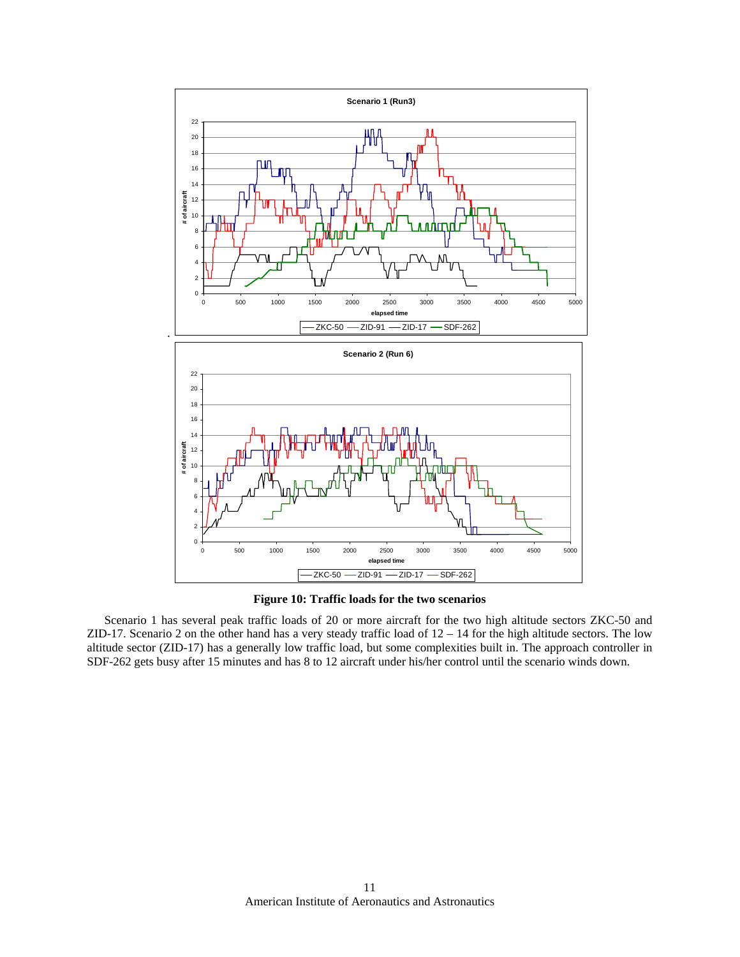

**Figure 10: Traffic loads for the two scenarios** 

Scenario 1 has several peak traffic loads of 20 or more aircraft for the two high altitude sectors ZKC-50 and ZID-17. Scenario 2 on the other hand has a very steady traffic load of 12 – 14 for the high altitude sectors. The low altitude sector (ZID-17) has a generally low traffic load, but some complexities built in. The approach controller in SDF-262 gets busy after 15 minutes and has 8 to 12 aircraft under his/her control until the scenario winds down.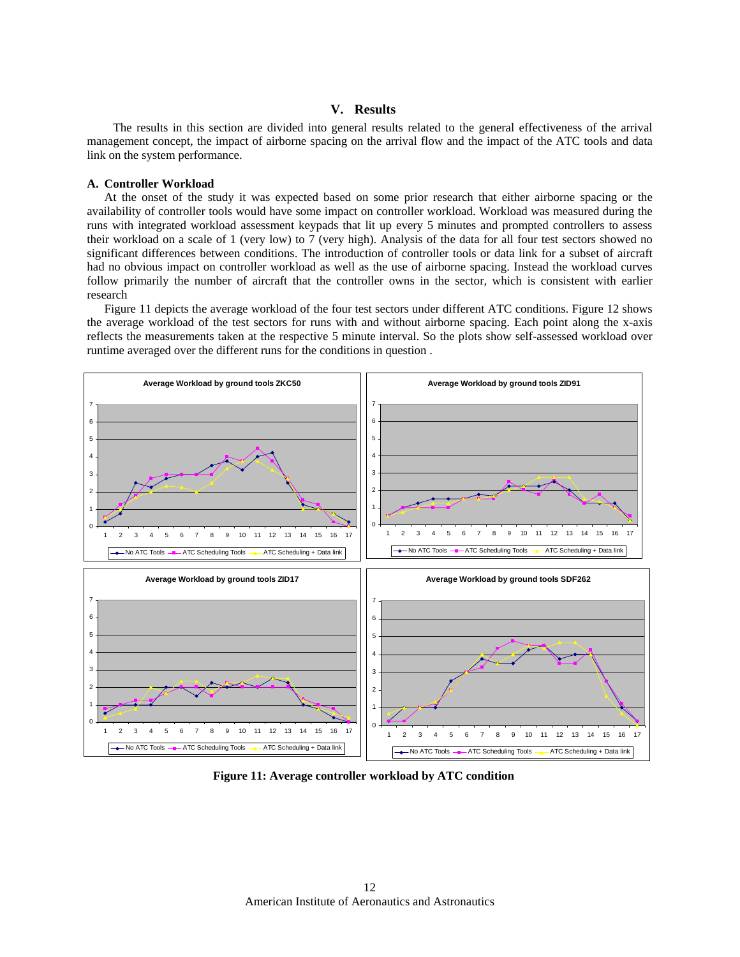# **V. Results**

The results in this section are divided into general results related to the general effectiveness of the arrival management concept, the impact of airborne spacing on the arrival flow and the impact of the ATC tools and data link on the system performance.

#### **A. Controller Workload**

At the onset of the study it was expected based on some prior research that either airborne spacing or the availability of controller tools would have some impact on controller workload. Workload was measured during the runs with integrated workload assessment keypads that lit up every 5 minutes and prompted controllers to assess their workload on a scale of 1 (very low) to 7 (very high). Analysis of the data for all four test sectors showed no significant differences between conditions. The introduction of controller tools or data link for a subset of aircraft had no obvious impact on controller workload as well as the use of airborne spacing. Instead the workload curves follow primarily the number of aircraft that the controller owns in the sector, which is consistent with earlier research

Figure 11 depicts the average workload of the four test sectors under different ATC conditions. Figure 12 shows the average workload of the test sectors for runs with and without airborne spacing. Each point along the x-axis reflects the measurements taken at the respective 5 minute interval. So the plots show self-assessed workload over runtime averaged over the different runs for the conditions in question .



**Figure 11: Average controller workload by ATC condition**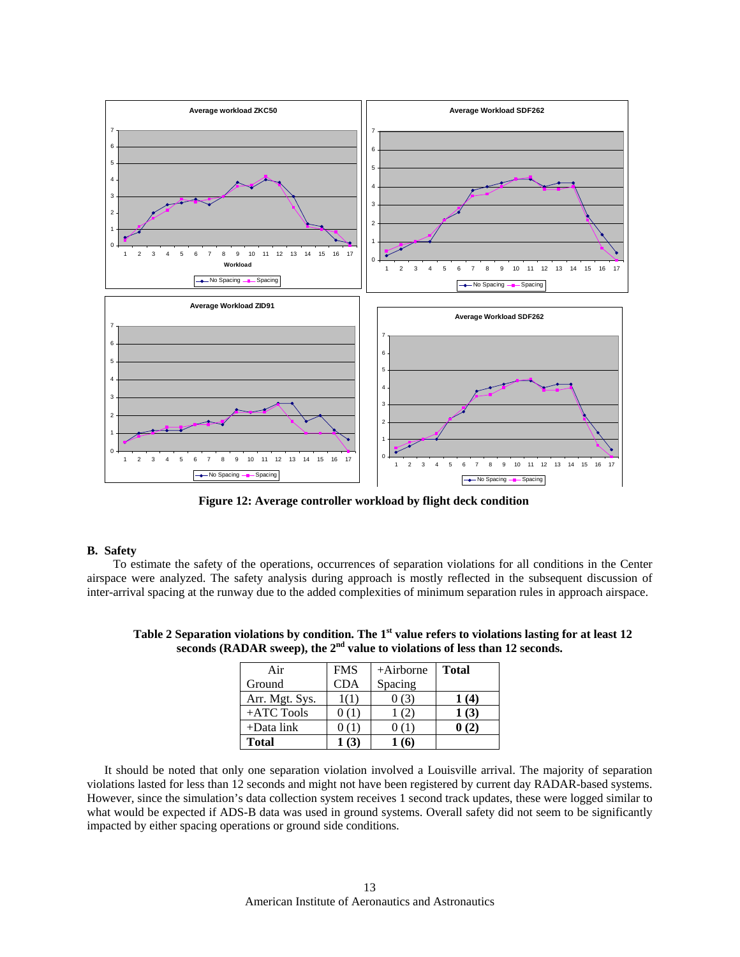

**Figure 12: Average controller workload by flight deck condition** 

## **B. Safety**

To estimate the safety of the operations, occurrences of separation violations for all conditions in the Center airspace were analyzed. The safety analysis during approach is mostly reflected in the subsequent discussion of inter-arrival spacing at the runway due to the added complexities of minimum separation rules in approach airspace.

| Air            | <b>FMS</b> | $+Airborne$ | <b>Total</b> |
|----------------|------------|-------------|--------------|
| Ground         | <b>CDA</b> | Spacing     |              |
| Arr. Mgt. Sys. |            |             | 1 (4)        |
| $+ATC$ Tools   |            |             | 1(3)         |
| $+$ Data link  |            |             |              |
| <b>Total</b>   |            |             |              |

Table 2 Separation violations by condition. The 1<sup>st</sup> value refers to violations lasting for at least 12 seconds (RADAR sweep), the 2<sup>nd</sup> value to violations of less than 12 seconds.

violations lasted for less than 12 seconds and might not have been registered by current day RADAR-based systems. How ever, since the simulation's data collection system receives 1 second track updates, these were logged similar to It should be noted that only one separation violation involved a Louisville arrival. The majority of separation what would be expected if ADS-B data was used in ground systems. Overall safety did not seem to be significantly impacted by either spacing operations or ground side conditions.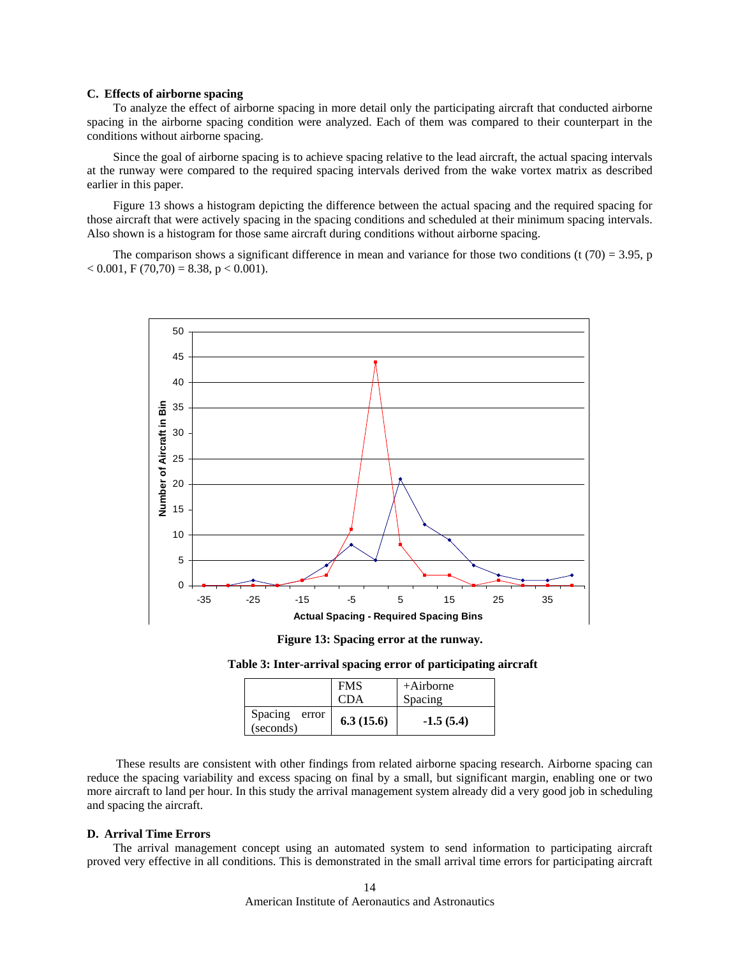### **C. E ffects of airborne spacing**

spacing in the airborne spacing condition were analyzed. Each of them was compared to their counterpart in the conditions without airborne spacing. To analyze the effect of airborne spacing in more detail only the participating aircraft that conducted airborne

Since the goal of airborne spacing is to achieve spacing relative to the lead aircraft, the actual spacing intervals at the runway were compared to the required spacing intervals derived from the wake vortex matrix as described earlier in this paper.

Figure 13 shows a histogram depicting the difference between the actual spacing and the required spacing for those aircraft that were actively spacing in the spacing conditions and scheduled at their minimum spacing intervals. Also shown is a histogram for those same aircraft during conditions without airborne spacing.

The comparison shows a significant difference in mean and variance for those two conditions (t  $(70) = 3.95$ , p  $< 0.001$ , F (70,70) = 8.38, p  $< 0.001$ ).



Figure 13: Spacing error at the runway.

**Table 3: Inter-arrival spacing error of participating aircraft** 

|                               | <b>FMS</b> | $+A$ irborne |
|-------------------------------|------------|--------------|
|                               | <b>CDA</b> | Spacing      |
| Spacing<br>error<br>(seconds) | 6.3(15.6)  | $-1.5(5.4)$  |

 These results are consistent with other findings from related airborne spacing research. Airborne spacing can reduce the spacing variability and excess spacing on final by a small, but significant margin, enabling one or two more aircraft to land per hour. In this study the arrival management system already did a very good job in scheduling and spacing the aircraft.

#### **D. Arrival Time Errors**

The arrival management concept using an automated system to send information to participating aircraft proved very effective in all conditions. This is demonstrated in the small arrival time errors for participating aircraft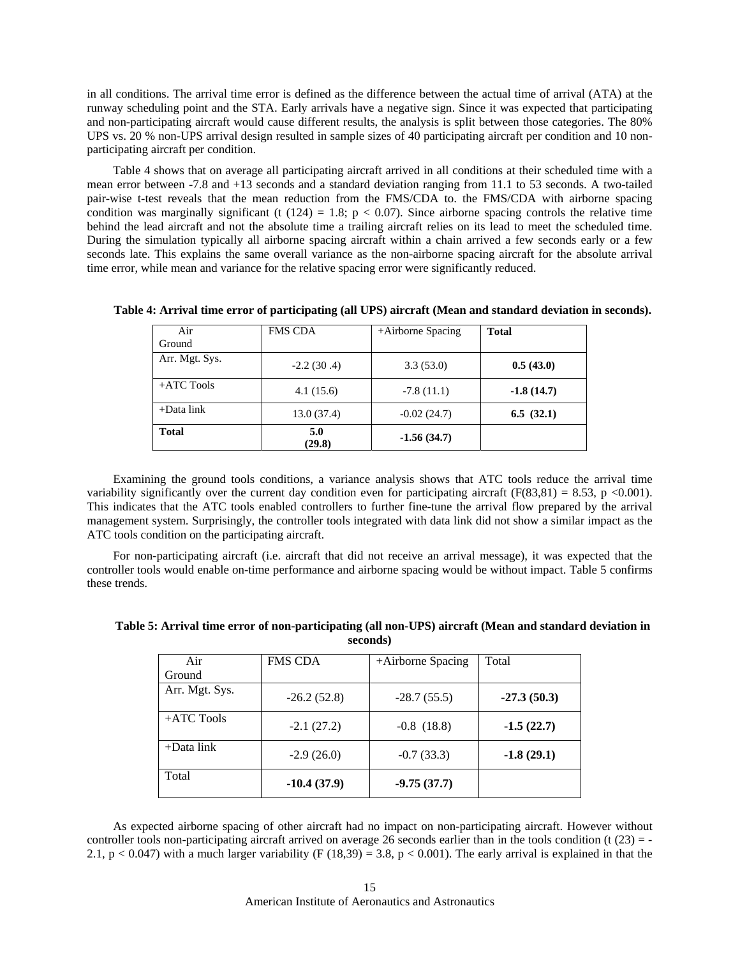in all conditions. The arrival time error is defined as the difference between the actual time of arrival (ATA) at the runway scheduling point and the STA. Early arrivals have a negative sign. Since it was expected that participating and non-participating aircraft would cause different results, the analysis is split between those categories. The 80% UPS vs. 20 % non-UPS arrival design resulted in sample sizes of 40 participating aircraft per condition and 10 nonparticipating aircraft per condition.

Table 4 shows that on average all participating aircraft arrived in all conditions at their scheduled time with a mean error between -7.8 and +13 seconds and a standard deviation ranging from 11.1 to 53 seconds. A two-tailed pair-w ise t-test reveals that the mean reduction from the FMS/CDA to. the FMS/CDA with airborne spacing condition was marginally significant (t  $(124) = 1.8$ ;  $p < 0.07$ ). Since airborne spacing controls the relative time behind the lead aircraft and not the absolute time a trailing aircraft relies on its lead to meet the scheduled time. During the simulation typically all airborne spacing aircraft within a chain arrived a few seconds early or a few seconds late. This explains the same overall variance as the non-airborne spacing aircraft for the absolute arrival time error, while mean and variance for the relative spacing error were significantly reduced.

| Air            | <b>FMS CDA</b> | +Airborne Spacing | <b>Total</b> |
|----------------|----------------|-------------------|--------------|
| Ground         |                |                   |              |
| Arr. Mgt. Sys. | $-2.2(30.4)$   | 3.3(53.0)         | 0.5(43.0)    |
| $+ATC$ Tools   | 4.1(15.6)      | $-7.8(11.1)$      | $-1.8(14.7)$ |
| $+$ Data link  | 13.0(37.4)     | $-0.02(24.7)$     | 6.5(32.1)    |
| <b>Total</b>   | 5.0<br>(29.8)  | $-1.56(34.7)$     |              |

Table 4: Arrival time error of participating (all UPS) aircraft (Mean and standard deviation in seconds).

E xamining the ground tools conditions, a variance analysis shows that ATC tools reduce the arrival time variability significantly over the current day condition even for participating aircraft ( $F(83,81) = 8.53$ , p <0.001). This indicates that the ATC tools enabled controllers to further fine-tune the arrival flow prepared by the arrival management system. Surprisingly, the controller tools integrated with data link did not show a similar impact as the ATC tools condition on the participating aircraft.

For non-participating aircraft (i.e. aircraft that did not receive an arrival message), it was expected that the controller tools would enable on-time performance and airborne spacing would be without impact. Table 5 confirms these trends.

| Air            | <b>FMS CDA</b> | +Airborne Spacing | Total         |
|----------------|----------------|-------------------|---------------|
| Ground         |                |                   |               |
| Arr. Mgt. Sys. | $-26.2(52.8)$  | $-28.7(55.5)$     | $-27.3(50.3)$ |
| $+ATC$ Tools   | $-2.1(27.2)$   | $-0.8$ $(18.8)$   | $-1.5(22.7)$  |
| $+$ Data link  | $-2.9(26.0)$   | $-0.7(33.3)$      | $-1.8(29.1)$  |
| Total          | $-10.4(37.9)$  | $-9.75(37.7)$     |               |

Table 5: Arrival time error of non-participating (all non-UPS) aircraft (Mean and standard deviation in **seconds)** 

As expected airborne spacing of other aircraft had no impact on non-participating aircraft. However without controller tools non-participating aircraft arrived on average 26 seconds earlier than in the tools condition (t  $(23) = -$ 2.1, p < 0.047) with a much larger variability (F (18,39) = 3.8, p < 0.001). The early arrival is explained in that the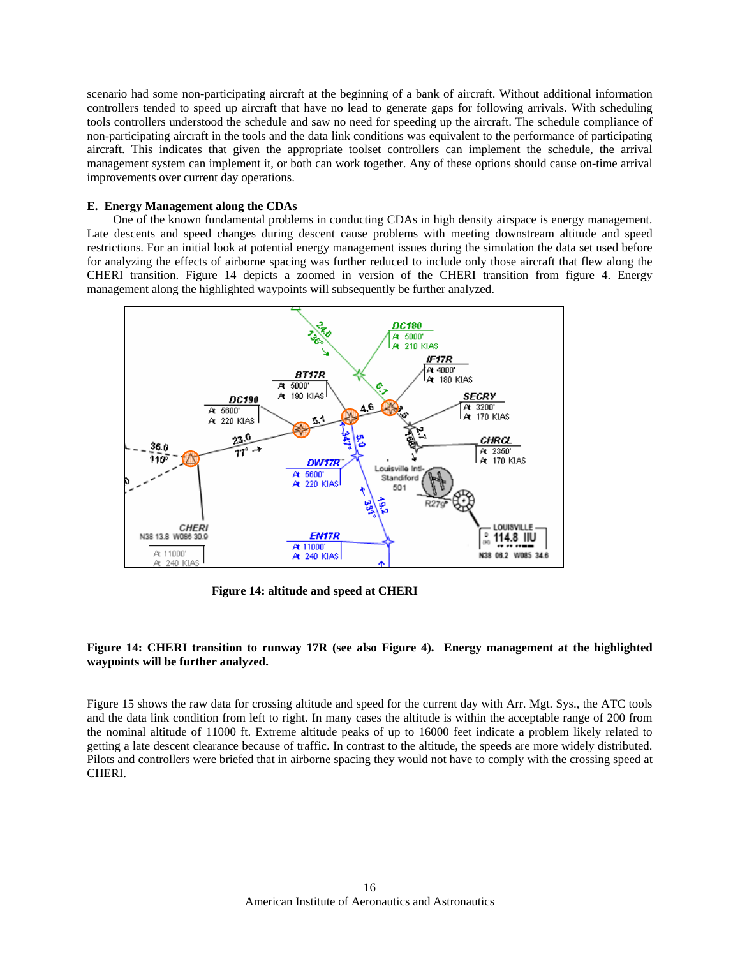scena rio had some non-participating aircraft at the beginning of a bank of aircraft. Without additional information management system can implement it, or both can work together. Any of these options should cause on-time arrival improv ements over current day operations. controllers tended to speed up aircraft that have no lead to generate gaps for following arrivals. With scheduling tools controllers understood the schedule and saw no need for speeding up the aircraft. The schedule compliance of non-participating aircraft in the tools and the data link conditions was equivalent to the performance of participating aircraft. This indicates that given the appropriate toolset controllers can implement the schedule, the arrival

# **E. Energy Management along the CDAs**

One of the known fundamental problems in conducting CDAs in high density airspace is energy management. Late descents and speed changes during descent cause problems with meeting downstream altitude and speed restrictions. For an initial look at potential energy management issues during the simulation the data set used before for analyzing the effects of airborne spacing was further reduced to include only those aircraft that flew along the CHERI transition. Figure 14 depicts a zoomed in version of the CHERI transition from figure 4. Energy manag ement along the highlighted waypoints will subsequently be further analyzed.



**Figure 14: altitude and speed at CHERI** 

# **Figure 14: CHERI transition to runway 17R (see also Figure 4). Energy management at the highlighted wayp ints will be further analyzed. o**

Figure 15 shows the raw data for crossing altitude and speed for the current day with Arr. Mgt. Sys., the ATC tools and the data link condition from left to right. In many cases the altitude is within the acceptable range of 200 from the nominal altitude of 11000 ft. Extreme altitude peaks of up to 16000 feet indicate a problem likely related to getting a late descent clearance because of traffic. In contrast to the altitude, the speeds are more widely distributed. Pilots and controllers were briefed that in airborne spacing they would not have to comply with the crossing speed at CHERI.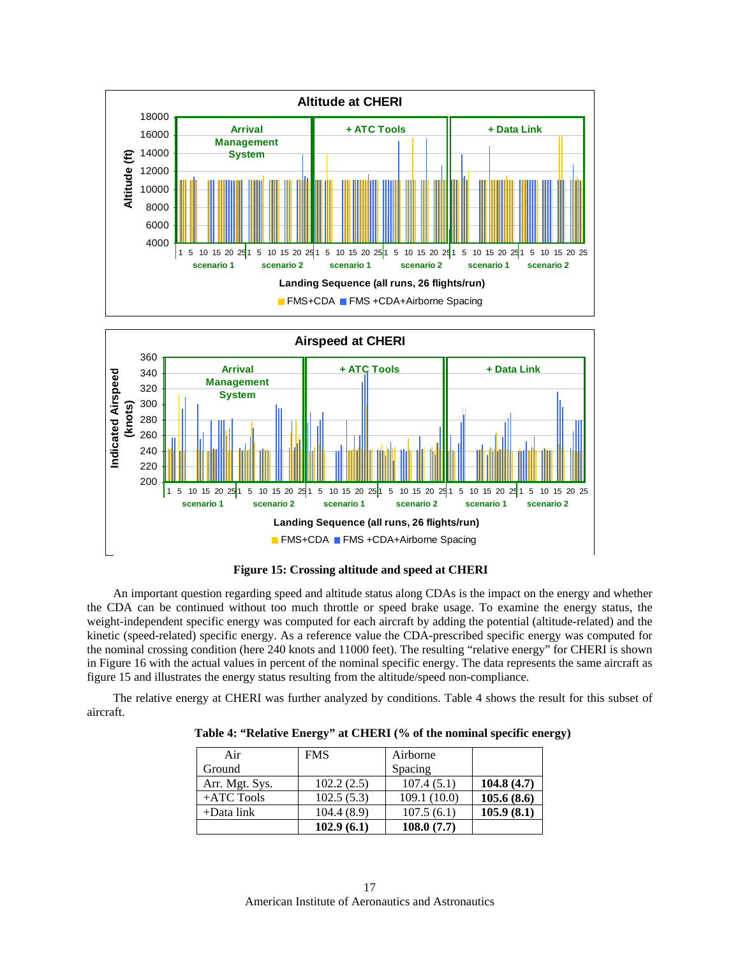



**Figure 15: Crossing altitude and speed at CHERI** 

An important question regarding speed and altitude status along CDAs is the impact on the energy and whether the CDA can be continued without too much throttle or speed brake usage. To examine the energy status, the weight-independent specific energy was computed for each aircraft by adding the potential (altitude-related) and the kinetic (speed-related) specific energy. As a reference value the CDA-prescribed specific energy was computed for the nominal crossing condition (here 240 knots and 11000 feet). The resulting "relative energy" for CHERI is shown in Figure 16 with the actual values in percent of the nominal specific energy. The data represents the same aircraft as figure 15 and illustrates the energy status resulting from the altitude/speed non-compliance.

The relative energy at CHERI was further analyzed by conditions. Table 4 shows the result for this subset of aircraft.

| Table 4: "Relative Energy" at CHERI (% of the nominal specific energy) |  |  |  |  |  |  |  |  |  |  |  |  |
|------------------------------------------------------------------------|--|--|--|--|--|--|--|--|--|--|--|--|
|------------------------------------------------------------------------|--|--|--|--|--|--|--|--|--|--|--|--|

| Air            | <b>FMS</b> | Airborne    |            |
|----------------|------------|-------------|------------|
| Ground         |            | Spacing     |            |
| Arr. Mgt. Sys. | 102.2(2.5) | 107.4(5.1)  | 104.8(4.7) |
| $+ATC$ Tools   | 102.5(5.3) | 109.1(10.0) | 105.6(8.6) |
| $+$ Data link  | 104.4(8.9) | 107.5(6.1)  | 105.9(8.1) |
|                | 102.9(6.1) | 108.0(7.7)  |            |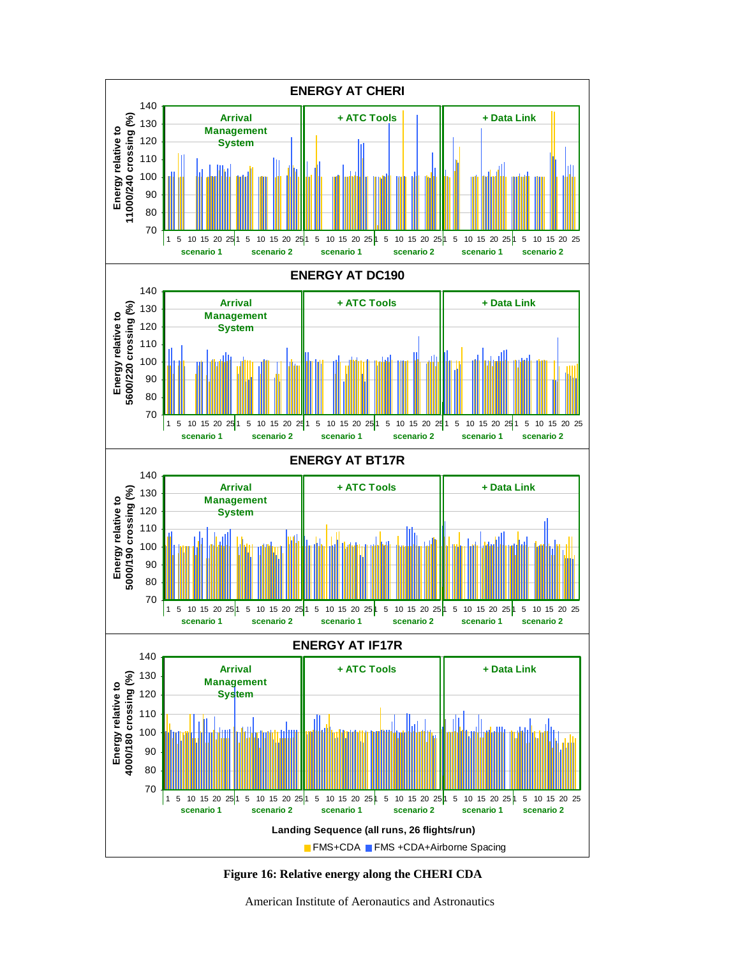



American Institute of Aeronautics and Astronautics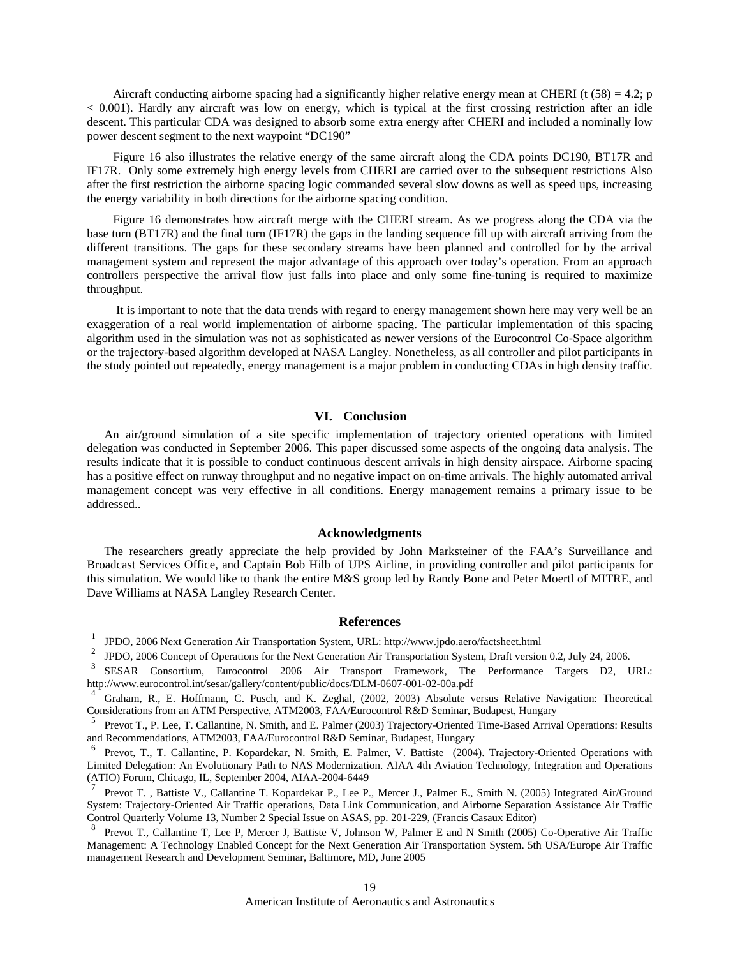Aircraft conducting airborne spacing had a significantly higher relative energy mean at CHERI (t  $(58) = 4.2$ ; p < 0.001). Hardly any aircraft was low on energy, which is typical at the first crossing restriction after an idle descent. This particular CDA was designed to absorb some extra energy after CHERI and included a nominally low power descent segment to the next waypoint "DC190"

Figure 16 also illustrates the relative energy of the same aircraft along the CDA points DC190, BT17R and IF17R. Only some extremely high energy levels from CHERI are carried over to the subsequent restrictions Also after the first restriction the airborne spacing logic commanded several slow downs as well as speed ups, increasing the energy variability in both directions for the airborne spacing condition.

Figure 16 demonstrates how aircraft merge with the CHERI stream. As we progress along the CDA via the base turn (BT17R) and the final turn (IF17R) the gaps in the landing sequence fill up with aircraft arriving from the different transitions. The gaps for these secondary streams have been planned and controlled for by the arrival management system and represent the major advantage of this approach over today's operation. From an approach controllers perspective the arrival flow just falls into place and only some fine-tuning is required to maximize throughput.

 It is important to note that the data trends with regard to energy management shown here may very well be an exaggeration of a real world implementation of airborne spacing. The particular implementation of this spacing algorithm used in the simulation was not as sophisticated as newer versions of the Eurocontrol Co-Space algorithm or the trajectory-based algorithm developed at NASA Langley. Nonetheless, as all controller and pilot participants in the study pointed out repeatedly, energy management is a major problem in conducting CDAs in high density traffic.

### **VI. Conclusion**

An air/ground simulation of a site specific implementation of trajectory oriented operations with limited delegation was conducted in September 2006. This paper discussed some aspects of the ongoing data analysis. The results indicate that it is possible to conduct continuous descent arrivals in high density airspace. Airborne spacing has a positive effect on runway throughput and no negative impact on on-time arrivals. The highly automated arrival management concept was very effective in all conditions. Energy management remains a primary issue to be addressed..

## **Acknowledgments**

The researchers greatly appreciate the help provided by John Marksteiner of the FAA's Surveillance and Broadcast Services Office, and Captain Bob Hilb of UPS Airline, in providing controller and pilot participants for this simulation. We would like to thank the entire M&S group led by Randy Bone and Peter Moertl of MITRE, and Dave Williams at NASA Langley Research Center.

# **References**

<sup>1</sup> JPDO, 2006 Next Generation Air Transportation System, URL: http://www.jpdo.aero/factsheet.html

<sup>2</sup> JPDO, 2006 Concept of Operations for the Next Generation Air Transportation System, Draft version 0.2, July 24, 2006.

<sup>3</sup> SESAR Consortium, Eurocontrol 2006 Air Transport Framework, The Performance Targets D2, URL: http://www.eurocontrol.int/sesar/gallery/content/public/docs/DLM-0607-001-02-00a.pdf

<sup>4</sup> Graham, R., E. Hoffmann, C. Pusch, and K. Zeghal, (2002, 2003) Absolute versus Relative Navigation: Theoretical Considerations from an ATM Perspective, ATM2003, FAA/Eurocontrol R&D Seminar, Budapest, Hungary

<sup>5</sup> Prevot T., P. Lee, T. Callantine, N. Smith, and E. Palmer (2003) Trajectory-Oriented Time-Based Arrival Operations: Results and Recommendations, ATM2003, FAA/Eurocontrol R&D Seminar, Budapest, Hungary

<sup>6</sup> Prevot, T., T. Callantine, P. Kopardekar, N. Smith, E. Palmer, V. Battiste (2004). Trajectory-Oriented Operations with Limited Delegation: An Evolutionary Path to NAS Modernization. AIAA 4th Aviation Technology, Integration and Operations (ATIO) Forum, Chicago, IL, September 2004, AIAA-2004-6449

Prevot T., Battiste V., Callantine T. Kopardekar P., Lee P., Mercer J., Palmer E., Smith N. (2005) Integrated Air/Ground System: Trajectory-Oriented Air Traffic operations, Data Link Communication, and Airborne Separation Assistance Air Traffic Control Quarterly Volume 13, Number 2 Special Issue on ASAS, pp. 201-229, (Francis Casaux Editor)

<sup>8</sup> Prevot T., Callantine T, Lee P, Mercer J, Battiste V, Johnson W, Palmer E and N Smith (2005) Co-Operative Air Traffic Management: A Technology Enabled Concept for the Next Generation Air Transportation System. 5th USA/Europe Air Traffic management Research and Development Seminar, Baltimore, MD, June 2005